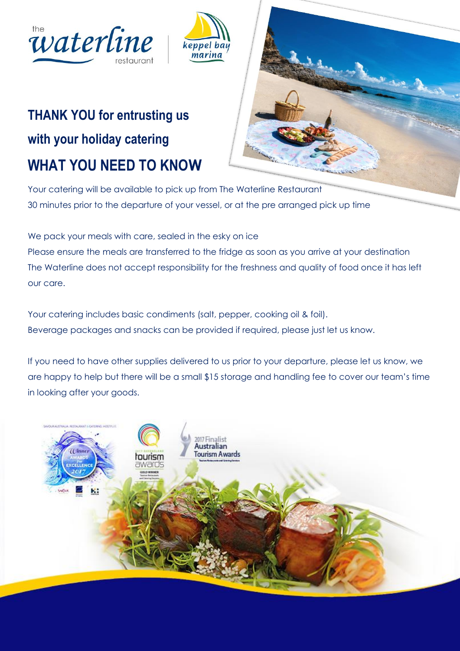



## **THANK YOU for entrusting us with your holiday catering WHAT YOU NEED TO KNOW**



Your catering will be available to pick up from The Waterline Restaurant 30 minutes prior to the departure of your vessel, or at the pre arranged pick up time

We pack your meals with care, sealed in the esky on ice Please ensure the meals are transferred to the fridge as soon as you arrive at your destination The Waterline does not accept responsibility for the freshness and quality of food once it has left our care.

Your catering includes basic condiments (salt, pepper, cooking oil & foil). Beverage packages and snacks can be provided if required, please just let us know.

If you need to have other supplies delivered to us prior to your departure, please let us know, we are happy to help but there will be a small \$15 storage and handling fee to cover our team's time in looking after your goods.